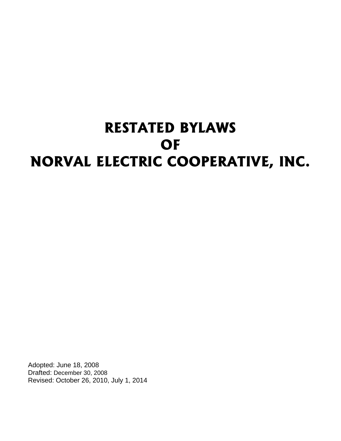# **RESTATED BYLAWS OF NORVAL ELECTRIC COOPERATIVE, INC.**

Adopted: June 18, 2008 Drafted: December 30, 2008 Revised: October 26, 2010, July 1, 2014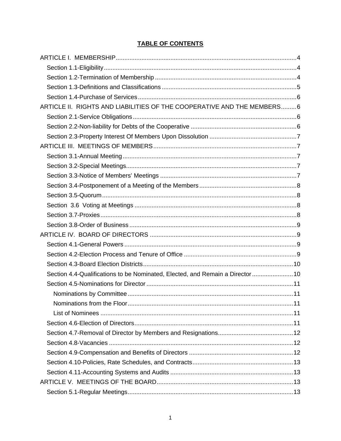# **TABLE OF CONTENTS**

| ARTICLE II. RIGHTS AND LIABILITIES OF THE COOPERATIVE AND THE MEMBERS6         |  |
|--------------------------------------------------------------------------------|--|
|                                                                                |  |
|                                                                                |  |
|                                                                                |  |
|                                                                                |  |
|                                                                                |  |
|                                                                                |  |
|                                                                                |  |
|                                                                                |  |
|                                                                                |  |
|                                                                                |  |
|                                                                                |  |
|                                                                                |  |
|                                                                                |  |
|                                                                                |  |
|                                                                                |  |
|                                                                                |  |
| Section 4.4-Qualifications to be Nominated, Elected, and Remain a Director  10 |  |
|                                                                                |  |
|                                                                                |  |
|                                                                                |  |
|                                                                                |  |
|                                                                                |  |
|                                                                                |  |
|                                                                                |  |
|                                                                                |  |
|                                                                                |  |
|                                                                                |  |
|                                                                                |  |
|                                                                                |  |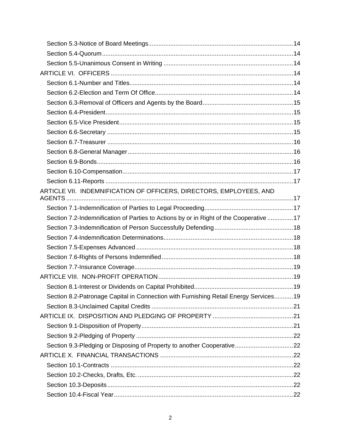| ARTICLE VII. INDEMNIFICATION OF OFFICERS, DIRECTORS, EMPLOYEES, AND                     |  |
|-----------------------------------------------------------------------------------------|--|
|                                                                                         |  |
|                                                                                         |  |
| Section 7.2-Indemnification of Parties to Actions by or in Right of the Cooperative  17 |  |
|                                                                                         |  |
|                                                                                         |  |
|                                                                                         |  |
|                                                                                         |  |
|                                                                                         |  |
|                                                                                         |  |
|                                                                                         |  |
| Section 8.2-Patronage Capital in Connection with Furnishing Retail Energy Services19    |  |
|                                                                                         |  |
|                                                                                         |  |
|                                                                                         |  |
|                                                                                         |  |
|                                                                                         |  |
|                                                                                         |  |
|                                                                                         |  |
|                                                                                         |  |
|                                                                                         |  |
|                                                                                         |  |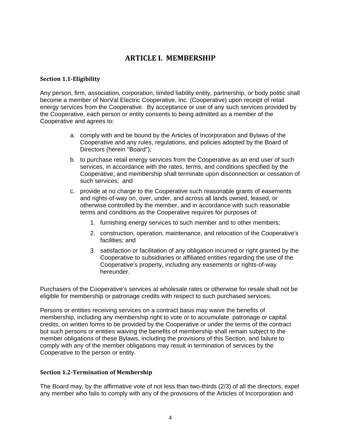# **ARTICLE I. MEMBERSHIP**

#### <span id="page-4-1"></span><span id="page-4-0"></span>**Section 1.1-Eligibility**

Any person, firm, association, corporation, limited liability entity, partnership, or body politic shall become a member of NorVal Electric Cooperative, Inc. (Cooperative) upon receipt of retail energy services from the Cooperative. By acceptance or use of any such services provided by the Cooperative, each person or entity consents to being admitted as a member of the Cooperative and agrees to:

- a. comply with and be bound by the Articles of Incorporation and Bylaws of the Cooperative and any rules, regulations, and policies adopted by the Board of Directors (herein "Board");
- b. to purchase retail energy services from the Cooperative as an end user of such services, in accordance with the rates, terms, and conditions specified by the Cooperative; and membership shall terminate upon disconnection or cessation of such services; and
- c. provide at no charge to the Cooperative such reasonable grants of easements and rights-of-way on, over, under, and across all lands owned, leased, or otherwise controlled by the member, and in accordance with such reasonable terms and conditions as the Cooperative requires for purposes of:
	- 1. furnishing energy services to such member and to other members;
	- 2. construction, operation, maintenance, and relocation of the Cooperative's facilities; and
	- 3. satisfaction or facilitation of any obligation incurred or right granted by the Cooperative to subsidiaries or affiliated entities regarding the use of the Cooperative's property, including any easements or rights-of-way hereunder.

Purchasers of the Cooperative's services at wholesale rates or otherwise for resale shall not be eligible for membership or patronage credits with respect to such purchased services.

Persons or entities receiving services on a contract basis may waive the benefits of membership, including any membership right to vote or to accumulate patronage or capital credits, on written forms to be provided by the Cooperative or under the terms of the contract but such persons or entities waiving the benefits of membership shall remain subject to the member obligations of these Bylaws, including the provisions of this Section, and failure to comply with any of the member obligations may result in termination of services by the Cooperative to the person or entity.

# <span id="page-4-2"></span>**Section 1.2-Termination of Membership**

The Board may, by the affirmative vote of not less than two-thirds (2/3) of all the directors, expel any member who fails to comply with any of the provisions of the Articles of Incorporation and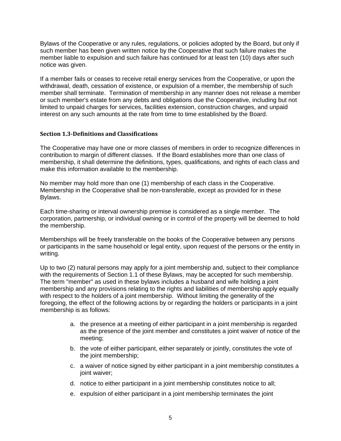Bylaws of the Cooperative or any rules, regulations, or policies adopted by the Board, but only if such member has been given written notice by the Cooperative that such failure makes the member liable to expulsion and such failure has continued for at least ten (10) days after such notice was given.

If a member fails or ceases to receive retail energy services from the Cooperative, or upon the withdrawal, death, cessation of existence, or expulsion of a member, the membership of such member shall terminate. Termination of membership in any manner does not release a member or such member's estate from any debts and obligations due the Cooperative, including but not limited to unpaid charges for services, facilities extension, construction charges, and unpaid interest on any such amounts at the rate from time to time established by the Board.

#### <span id="page-5-0"></span>**Section 1.3-Definitions and Classifications**

The Cooperative may have one or more classes of members in order to recognize differences in contribution to margin of different classes. If the Board establishes more than one class of membership, it shall determine the definitions, types, qualifications, and rights of each class and make this information available to the membership.

No member may hold more than one (1) membership of each class in the Cooperative. Membership in the Cooperative shall be non-transferable, except as provided for in these Bylaws.

Each time-sharing or interval ownership premise is considered as a single member. The corporation, partnership, or individual owning or in control of the property will be deemed to hold the membership.

Memberships will be freely transferable on the books of the Cooperative between any persons or participants in the same household or legal entity, upon request of the persons or the entity in writing.

Up to two (2) natural persons may apply for a joint membership and, subject to their compliance with the requirements of Section 1.1 of these Bylaws, may be accepted for such membership. The term "member" as used in these bylaws includes a husband and wife holding a joint membership and any provisions relating to the rights and liabilities of membership apply equally with respect to the holders of a joint membership. Without limiting the generality of the foregoing, the effect of the following actions by or regarding the holders or participants in a joint membership is as follows:

- a. the presence at a meeting of either participant in a joint membership is regarded as the presence of the joint member and constitutes a joint waiver of notice of the meeting;
- b. the vote of either participant, either separately or jointly, constitutes the vote of the joint membership;
- c. a waiver of notice signed by either participant in a joint membership constitutes a joint waiver;
- d. notice to either participant in a joint membership constitutes notice to all;
- e. expulsion of either participant in a joint membership terminates the joint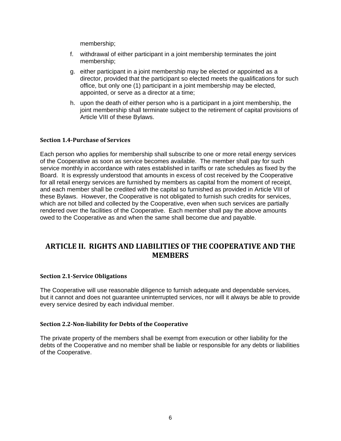membership;

- f. withdrawal of either participant in a joint membership terminates the joint membership;
- g. either participant in a joint membership may be elected or appointed as a director, provided that the participant so elected meets the qualifications for such office, but only one (1) participant in a joint membership may be elected, appointed, or serve as a director at a time;
- h. upon the death of either person who is a participant in a joint membership, the joint membership shall terminate subject to the retirement of capital provisions of Article VIII of these Bylaws.

#### <span id="page-6-0"></span>**Section 1.4-Purchase of Services**

Each person who applies for membership shall subscribe to one or more retail energy services of the Cooperative as soon as service becomes available. The member shall pay for such service monthly in accordance with rates established in tariffs or rate schedules as fixed by the Board. It is expressly understood that amounts in excess of cost received by the Cooperative for all retail energy services are furnished by members as capital from the moment of receipt, and each member shall be credited with the capital so furnished as provided in Article VIII of these Bylaws. However, the Cooperative is not obligated to furnish such credits for services, which are not billed and collected by the Cooperative, even when such services are partially rendered over the facilities of the Cooperative. Each member shall pay the above amounts owed to the Cooperative as and when the same shall become due and payable.

# <span id="page-6-1"></span>**ARTICLE II. RIGHTS AND LIABILITIES OF THE COOPERATIVE AND THE MEMBERS**

#### <span id="page-6-2"></span>**Section 2.1-Service Obligations**

The Cooperative will use reasonable diligence to furnish adequate and dependable services, but it cannot and does not guarantee uninterrupted services, nor will it always be able to provide every service desired by each individual member.

#### <span id="page-6-3"></span>**Section 2.2-Non-liability for Debts of the Cooperative**

The private property of the members shall be exempt from execution or other liability for the debts of the Cooperative and no member shall be liable or responsible for any debts or liabilities of the Cooperative.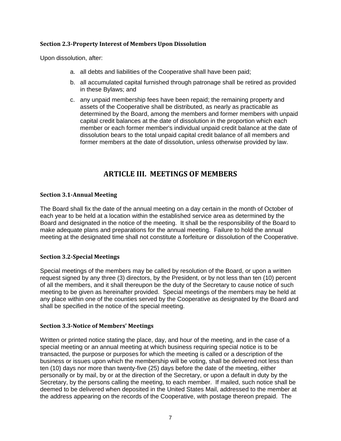# <span id="page-7-0"></span>**Section 2.3-Property Interest of Members Upon Dissolution**

Upon dissolution, after:

- a. all debts and liabilities of the Cooperative shall have been paid;
- b. all accumulated capital furnished through patronage shall be retired as provided in these Bylaws; and
- c. any unpaid membership fees have been repaid; the remaining property and assets of the Cooperative shall be distributed, as nearly as practicable as determined by the Board, among the members and former members with unpaid capital credit balances at the date of dissolution in the proportion which each member or each former member's individual unpaid credit balance at the date of dissolution bears to the total unpaid capital credit balance of all members and former members at the date of dissolution, unless otherwise provided by law.

# **ARTICLE III. MEETINGS OF MEMBERS**

#### <span id="page-7-2"></span><span id="page-7-1"></span>**Section 3.1-Annual Meeting**

The Board shall fix the date of the annual meeting on a day certain in the month of October of each year to be held at a location within the established service area as determined by the Board and designated in the notice of the meeting. It shall be the responsibility of the Board to make adequate plans and preparations for the annual meeting. Failure to hold the annual meeting at the designated time shall not constitute a forfeiture or dissolution of the Cooperative.

# <span id="page-7-3"></span>**Section 3.2-Special Meetings**

Special meetings of the members may be called by resolution of the Board, or upon a written request signed by any three (3) directors, by the President, or by not less than ten (10) percent of all the members, and it shall thereupon be the duty of the Secretary to cause notice of such meeting to be given as hereinafter provided. Special meetings of the members may be held at any place within one of the counties served by the Cooperative as designated by the Board and shall be specified in the notice of the special meeting.

#### <span id="page-7-4"></span>**Section 3.3-Notice of Members' Meetings**

Written or printed notice stating the place, day, and hour of the meeting, and in the case of a special meeting or an annual meeting at which business requiring special notice is to be transacted, the purpose or purposes for which the meeting is called or a description of the business or issues upon which the membership will be voting, shall be delivered not less than ten (10) days nor more than twenty-five (25) days before the date of the meeting, either personally or by mail, by or at the direction of the Secretary, or upon a default in duty by the Secretary, by the persons calling the meeting, to each member. If mailed, such notice shall be deemed to be delivered when deposited in the United States Mail, addressed to the member at the address appearing on the records of the Cooperative, with postage thereon prepaid. The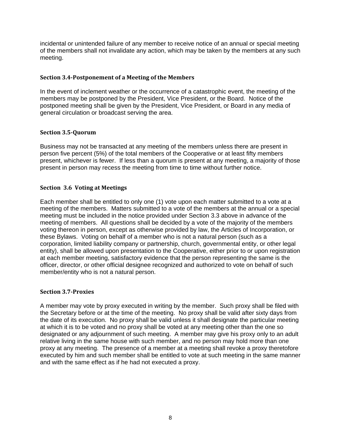incidental or unintended failure of any member to receive notice of an annual or special meeting of the members shall not invalidate any action, which may be taken by the members at any such meeting.

## <span id="page-8-0"></span>**Section 3.4-Postponement of a Meeting of the Members**

In the event of inclement weather or the occurrence of a catastrophic event, the meeting of the members may be postponed by the President, Vice President, or the Board. Notice of the postponed meeting shall be given by the President, Vice President, or Board in any media of general circulation or broadcast serving the area.

#### <span id="page-8-1"></span>**Section 3.5-Quorum**

Business may not be transacted at any meeting of the members unless there are present in person five percent (5%) of the total members of the Cooperative or at least fifty members present, whichever is fewer. If less than a quorum is present at any meeting, a majority of those present in person may recess the meeting from time to time without further notice.

#### <span id="page-8-2"></span>**Section 3.6 Voting at Meetings**

Each member shall be entitled to only one (1) vote upon each matter submitted to a vote at a meeting of the members. Matters submitted to a vote of the members at the annual or a special meeting must be included in the notice provided under Section 3.3 above in advance of the meeting of members. All questions shall be decided by a vote of the majority of the members voting thereon in person, except as otherwise provided by law, the Articles of Incorporation, or these Bylaws. Voting on behalf of a member who is not a natural person (such as a corporation, limited liability company or partnership, church, governmental entity, or other legal entity), shall be allowed upon presentation to the Cooperative, either prior to or upon registration at each member meeting, satisfactory evidence that the person representing the same is the officer, director, or other official designee recognized and authorized to vote on behalf of such member/entity who is not a natural person.

#### <span id="page-8-3"></span>**Section 3.7-Proxies**

A member may vote by proxy executed in writing by the member. Such proxy shall be filed with the Secretary before or at the time of the meeting. No proxy shall be valid after sixty days from the date of its execution. No proxy shall be valid unless it shall designate the particular meeting at which it is to be voted and no proxy shall be voted at any meeting other than the one so designated or any adjournment of such meeting. A member may give his proxy only to an adult relative living in the same house with such member, and no person may hold more than one proxy at any meeting. The presence of a member at a meeting shall revoke a proxy theretofore executed by him and such member shall be entitled to vote at such meeting in the same manner and with the same effect as if he had not executed a proxy.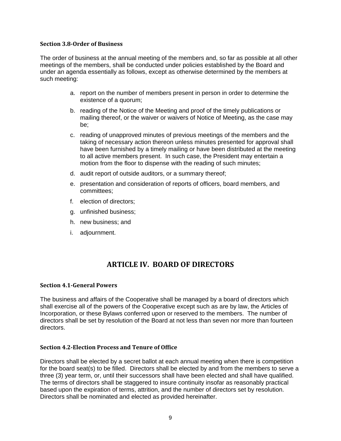#### <span id="page-9-0"></span>**Section 3.8-Order of Business**

The order of business at the annual meeting of the members and, so far as possible at all other meetings of the members, shall be conducted under policies established by the Board and under an agenda essentially as follows, except as otherwise determined by the members at such meeting:

- a. report on the number of members present in person in order to determine the existence of a quorum;
- b. reading of the Notice of the Meeting and proof of the timely publications or mailing thereof, or the waiver or waivers of Notice of Meeting, as the case may be;
- c. reading of unapproved minutes of previous meetings of the members and the taking of necessary action thereon unless minutes presented for approval shall have been furnished by a timely mailing or have been distributed at the meeting to all active members present. In such case, the President may entertain a motion from the floor to dispense with the reading of such minutes;
- d. audit report of outside auditors, or a summary thereof;
- e. presentation and consideration of reports of officers, board members, and committees;
- f. election of directors;
- g. unfinished business;
- h. new business; and
- <span id="page-9-1"></span>i. adjournment.

# **ARTICLE IV. BOARD OF DIRECTORS**

# <span id="page-9-2"></span>**Section 4.1-General Powers**

The business and affairs of the Cooperative shall be managed by a board of directors which shall exercise all of the powers of the Cooperative except such as are by law, the Articles of Incorporation, or these Bylaws conferred upon or reserved to the members. The number of directors shall be set by resolution of the Board at not less than seven nor more than fourteen directors.

#### <span id="page-9-3"></span>**Section 4.2-Election Process and Tenure of Office**

Directors shall be elected by a secret ballot at each annual meeting when there is competition for the board seat(s) to be filled. Directors shall be elected by and from the members to serve a three (3) year term, or, until their successors shall have been elected and shall have qualified. The terms of directors shall be staggered to insure continuity insofar as reasonably practical based upon the expiration of terms, attrition, and the number of directors set by resolution. Directors shall be nominated and elected as provided hereinafter.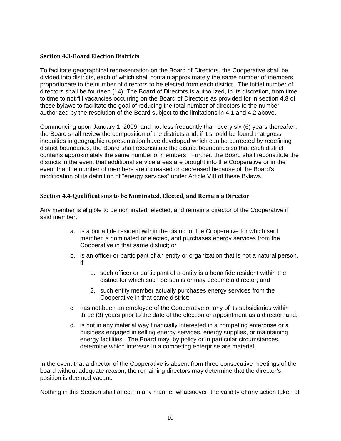## <span id="page-10-0"></span>**Section 4.3-Board Election Districts**

To facilitate geographical representation on the Board of Directors, the Cooperative shall be divided into districts, each of which shall contain approximately the same number of members proportionate to the number of directors to be elected from each district. The initial number of directors shall be fourteen (14). The Board of Directors is authorized, in its discretion, from time to time to not fill vacancies occurring on the Board of Directors as provided for in section 4.8 of these bylaws to facilitate the goal of reducing the total number of directors to the number authorized by the resolution of the Board subject to the limitations in 4.1 and 4.2 above.

Commencing upon January 1, 2009, and not less frequently than every six (6) years thereafter, the Board shall review the composition of the districts and, if it should be found that gross inequities in geographic representation have developed which can be corrected by redefining district boundaries, the Board shall reconstitute the district boundaries so that each district contains approximately the same number of members. Further, the Board shall reconstitute the districts in the event that additional service areas are brought into the Cooperative or in the event that the number of members are increased or decreased because of the Board's modification of its definition of "energy services" under Article VIII of these Bylaws.

# <span id="page-10-1"></span>**Section 4.4-Qualifications to be Nominated, Elected, and Remain a Director**

Any member is eligible to be nominated, elected, and remain a director of the Cooperative if said member:

- a. is a bona fide resident within the district of the Cooperative for which said member is nominated or elected, and purchases energy services from the Cooperative in that same district; or
- b. is an officer or participant of an entity or organization that is not a natural person, if:
	- 1. such officer or participant of a entity is a bona fide resident within the district for which such person is or may become a director; and
	- 2. such entity member actually purchases energy services from the Cooperative in that same district;
- c. has not been an employee of the Cooperative or any of its subsidiaries within three (3) years prior to the date of the election or appointment as a director; and,
- d. is not in any material way financially interested in a competing enterprise or a business engaged in selling energy services, energy supplies, or maintaining energy facilities. The Board may, by policy or in particular circumstances, determine which interests in a competing enterprise are material.

In the event that a director of the Cooperative is absent from three consecutive meetings of the board without adequate reason, the remaining directors may determine that the director's position is deemed vacant.

Nothing in this Section shall affect, in any manner whatsoever, the validity of any action taken at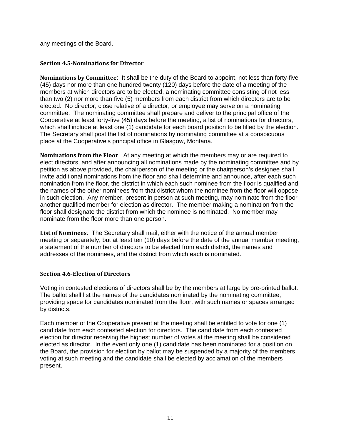any meetings of the Board.

## <span id="page-11-0"></span>**Section 4.5-Nominations for Director**

<span id="page-11-1"></span>**Nominations by Committee**: It shall be the duty of the Board to appoint, not less than forty-five (45) days nor more than one hundred twenty (120) days before the date of a meeting of the members at which directors are to be elected, a nominating committee consisting of not less than two (2) nor more than five (5) members from each district from which directors are to be elected. No director, close relative of a director, or employee may serve on a nominating committee. The nominating committee shall prepare and deliver to the principal office of the Cooperative at least forty-five (45) days before the meeting, a list of nominations for directors, which shall include at least one (1) candidate for each board position to be filled by the election. The Secretary shall post the list of nominations by nominating committee at a conspicuous place at the Cooperative's principal office in Glasgow, Montana.

<span id="page-11-2"></span>**Nominations from the Floor**: At any meeting at which the members may or are required to elect directors, and after announcing all nominations made by the nominating committee and by petition as above provided, the chairperson of the meeting or the chairperson's designee shall invite additional nominations from the floor and shall determine and announce, after each such nomination from the floor, the district in which each such nominee from the floor is qualified and the names of the other nominees from that district whom the nominee from the floor will oppose in such election. Any member, present in person at such meeting, may nominate from the floor another qualified member for election as director. The member making a nomination from the floor shall designate the district from which the nominee is nominated. No member may nominate from the floor more than one person.

<span id="page-11-3"></span>**List of Nominees**: The Secretary shall mail, either with the notice of the annual member meeting or separately, but at least ten (10) days before the date of the annual member meeting, a statement of the number of directors to be elected from each district, the names and addresses of the nominees, and the district from which each is nominated.

# <span id="page-11-4"></span>**Section 4.6-Election of Directors**

Voting in contested elections of directors shall be by the members at large by pre-printed ballot. The ballot shall list the names of the candidates nominated by the nominating committee, providing space for candidates nominated from the floor, with such names or spaces arranged by districts.

Each member of the Cooperative present at the meeting shall be entitled to vote for one (1) candidate from each contested election for directors. The candidate from each contested election for director receiving the highest number of votes at the meeting shall be considered elected as director. In the event only one (1) candidate has been nominated for a position on the Board, the provision for election by ballot may be suspended by a majority of the members voting at such meeting and the candidate shall be elected by acclamation of the members present.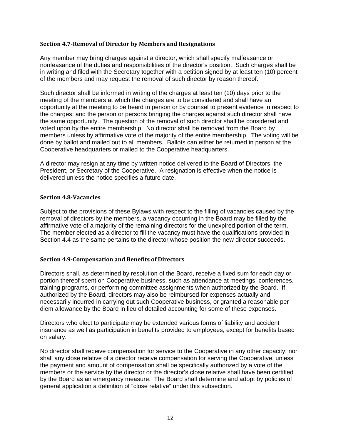#### <span id="page-12-0"></span>**Section 4.7-Removal of Director by Members and Resignations**

Any member may bring charges against a director, which shall specify malfeasance or nonfeasance of the duties and responsibilities of the director's position. Such charges shall be in writing and filed with the Secretary together with a petition signed by at least ten (10) percent of the members and may request the removal of such director by reason thereof.

Such director shall be informed in writing of the charges at least ten (10) days prior to the meeting of the members at which the charges are to be considered and shall have an opportunity at the meeting to be heard in person or by counsel to present evidence in respect to the charges; and the person or persons bringing the charges against such director shall have the same opportunity. The question of the removal of such director shall be considered and voted upon by the entire membership. No director shall be removed from the Board by members unless by affirmative vote of the majority of the entire membership. The voting will be done by ballot and mailed out to all members. Ballots can either be returned in person at the Cooperative headquarters or mailed to the Cooperative headquarters.

A director may resign at any time by written notice delivered to the Board of Directors, the President, or Secretary of the Cooperative. A resignation is effective when the notice is delivered unless the notice specifies a future date.

#### <span id="page-12-1"></span>**Section 4.8-Vacancies**

Subject to the provisions of these Bylaws with respect to the filling of vacancies caused by the removal of directors by the members, a vacancy occurring in the Board may be filled by the affirmative vote of a majority of the remaining directors for the unexpired portion of the term. The member elected as a director to fill the vacancy must have the qualifications provided in Section 4.4 as the same pertains to the director whose position the new director succeeds.

#### <span id="page-12-2"></span>**Section 4.9-Compensation and Benefits of Directors**

Directors shall, as determined by resolution of the Board, receive a fixed sum for each day or portion thereof spent on Cooperative business, such as attendance at meetings, conferences, training programs, or performing committee assignments when authorized by the Board. If authorized by the Board, directors may also be reimbursed for expenses actually and necessarily incurred in carrying out such Cooperative business, or granted a reasonable per diem allowance by the Board in lieu of detailed accounting for some of these expenses.

Directors who elect to participate may be extended various forms of liability and accident insurance as well as participation in benefits provided to employees, except for benefits based on salary.

No director shall receive compensation for service to the Cooperative in any other capacity, nor shall any close relative of a director receive compensation for serving the Cooperative, unless the payment and amount of compensation shall be specifically authorized by a vote of the members or the service by the director or the director's close relative shall have been certified by the Board as an emergency measure. The Board shall determine and adopt by policies of general application a definition of "close relative" under this subsection.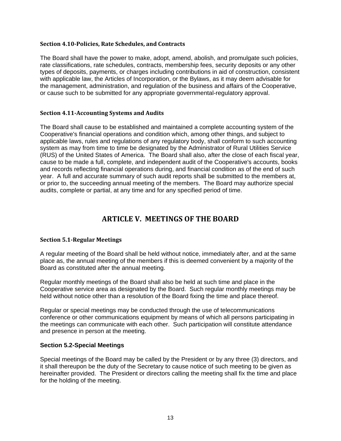#### <span id="page-13-0"></span>**Section 4.10-Policies, Rate Schedules, and Contracts**

The Board shall have the power to make, adopt, amend, abolish, and promulgate such policies, rate classifications, rate schedules, contracts, membership fees, security deposits or any other types of deposits, payments, or charges including contributions in aid of construction, consistent with applicable law, the Articles of Incorporation, or the Bylaws, as it may deem advisable for the management, administration, and regulation of the business and affairs of the Cooperative, or cause such to be submitted for any appropriate governmental-regulatory approval.

#### <span id="page-13-1"></span>**Section 4.11-Accounting Systems and Audits**

The Board shall cause to be established and maintained a complete accounting system of the Cooperative's financial operations and condition which, among other things, and subject to applicable laws, rules and regulations of any regulatory body, shall conform to such accounting system as may from time to time be designated by the Administrator of Rural Utilities Service (RUS) of the United States of America. The Board shall also, after the close of each fiscal year, cause to be made a full, complete, and independent audit of the Cooperative's accounts, books and records reflecting financial operations during, and financial condition as of the end of such year. A full and accurate summary of such audit reports shall be submitted to the members at, or prior to, the succeeding annual meeting of the members. The Board may authorize special audits, complete or partial, at any time and for any specified period of time.

# **ARTICLE V. MEETINGS OF THE BOARD**

# <span id="page-13-3"></span><span id="page-13-2"></span>**Section 5.1-Regular Meetings**

A regular meeting of the Board shall be held without notice, immediately after, and at the same place as, the annual meeting of the members if this is deemed convenient by a majority of the Board as constituted after the annual meeting.

Regular monthly meetings of the Board shall also be held at such time and place in the Cooperative service area as designated by the Board. Such regular monthly meetings may be held without notice other than a resolution of the Board fixing the time and place thereof.

Regular or special meetings may be conducted through the use of telecommunications conference or other communications equipment by means of which all persons participating in the meetings can communicate with each other. Such participation will constitute attendance and presence in person at the meeting.

#### **Section 5.2-Special Meetings**

Special meetings of the Board may be called by the President or by any three (3) directors, and it shall thereupon be the duty of the Secretary to cause notice of such meeting to be given as hereinafter provided. The President or directors calling the meeting shall fix the time and place for the holding of the meeting.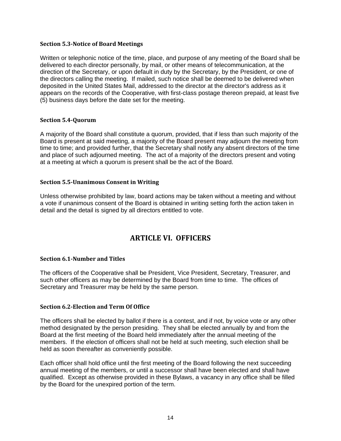#### <span id="page-14-0"></span>**Section 5.3-Notice of Board Meetings**

Written or telephonic notice of the time, place, and purpose of any meeting of the Board shall be delivered to each director personally, by mail, or other means of telecommunication, at the direction of the Secretary, or upon default in duty by the Secretary, by the President, or one of the directors calling the meeting. If mailed, such notice shall be deemed to be delivered when deposited in the United States Mail, addressed to the director at the director's address as it appears on the records of the Cooperative, with first-class postage thereon prepaid, at least five (5) business days before the date set for the meeting.

# <span id="page-14-1"></span>**Section 5.4-Quorum**

A majority of the Board shall constitute a quorum, provided, that if less than such majority of the Board is present at said meeting, a majority of the Board present may adjourn the meeting from time to time; and provided further, that the Secretary shall notify any absent directors of the time and place of such adjourned meeting. The act of a majority of the directors present and voting at a meeting at which a quorum is present shall be the act of the Board.

#### <span id="page-14-2"></span>**Section 5.5-Unanimous Consent in Writing**

<span id="page-14-3"></span>Unless otherwise prohibited by law, board actions may be taken without a meeting and without a vote if unanimous consent of the Board is obtained in writing setting forth the action taken in detail and the detail is signed by all directors entitled to vote.

# **ARTICLE VI. OFFICERS**

#### <span id="page-14-4"></span>**Section 6.1-Number and Titles**

The officers of the Cooperative shall be President, Vice President, Secretary, Treasurer, and such other officers as may be determined by the Board from time to time. The offices of Secretary and Treasurer may be held by the same person.

#### <span id="page-14-5"></span>**Section 6.2-Election and Term Of Office**

The officers shall be elected by ballot if there is a contest, and if not, by voice vote or any other method designated by the person presiding. They shall be elected annually by and from the Board at the first meeting of the Board held immediately after the annual meeting of the members. If the election of officers shall not be held at such meeting, such election shall be held as soon thereafter as conveniently possible.

Each officer shall hold office until the first meeting of the Board following the next succeeding annual meeting of the members, or until a successor shall have been elected and shall have qualified. Except as otherwise provided in these Bylaws, a vacancy in any office shall be filled by the Board for the unexpired portion of the term.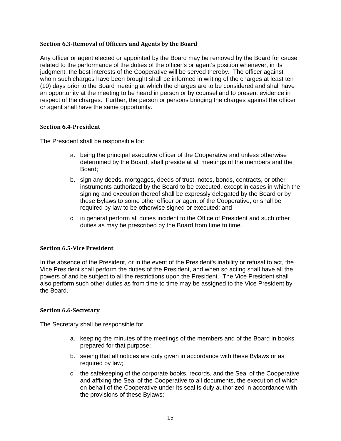#### <span id="page-15-0"></span>**Section 6.3-Removal of Officers and Agents by the Board**

Any officer or agent elected or appointed by the Board may be removed by the Board for cause related to the performance of the duties of the officer's or agent's position whenever, in its judgment, the best interests of the Cooperative will be served thereby. The officer against whom such charges have been brought shall be informed in writing of the charges at least ten (10) days prior to the Board meeting at which the charges are to be considered and shall have an opportunity at the meeting to be heard in person or by counsel and to present evidence in respect of the charges. Further, the person or persons bringing the charges against the officer or agent shall have the same opportunity.

#### <span id="page-15-1"></span>**Section 6.4-President**

The President shall be responsible for:

- a. being the principal executive officer of the Cooperative and unless otherwise determined by the Board, shall preside at all meetings of the members and the Board;
- b. sign any deeds, mortgages, deeds of trust, notes, bonds, contracts, or other instruments authorized by the Board to be executed, except in cases in which the signing and execution thereof shall be expressly delegated by the Board or by these Bylaws to some other officer or agent of the Cooperative, or shall be required by law to be otherwise signed or executed; and
- c. in general perform all duties incident to the Office of President and such other duties as may be prescribed by the Board from time to time.

#### <span id="page-15-2"></span>**Section 6.5-Vice President**

In the absence of the President, or in the event of the President's inability or refusal to act, the Vice President shall perform the duties of the President, and when so acting shall have all the powers of and be subject to all the restrictions upon the President. The Vice President shall also perform such other duties as from time to time may be assigned to the Vice President by the Board.

#### <span id="page-15-3"></span>**Section 6.6-Secretary**

The Secretary shall be responsible for:

- a. keeping the minutes of the meetings of the members and of the Board in books prepared for that purpose;
- b. seeing that all notices are duly given in accordance with these Bylaws or as required by law;
- c. the safekeeping of the corporate books, records, and the Seal of the Cooperative and affixing the Seal of the Cooperative to all documents, the execution of which on behalf of the Cooperative under its seal is duly authorized in accordance with the provisions of these Bylaws;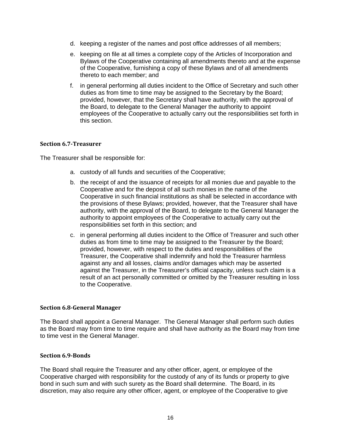- d. keeping a register of the names and post office addresses of all members;
- e. keeping on file at all times a complete copy of the Articles of Incorporation and Bylaws of the Cooperative containing all amendments thereto and at the expense of the Cooperative, furnishing a copy of these Bylaws and of all amendments thereto to each member; and
- f. in general performing all duties incident to the Office of Secretary and such other duties as from time to time may be assigned to the Secretary by the Board; provided, however, that the Secretary shall have authority, with the approval of the Board, to delegate to the General Manager the authority to appoint employees of the Cooperative to actually carry out the responsibilities set forth in this section.

#### <span id="page-16-0"></span>**Section 6.7-Treasurer**

The Treasurer shall be responsible for:

- a. custody of all funds and securities of the Cooperative;
- b. the receipt of and the issuance of receipts for all monies due and payable to the Cooperative and for the deposit of all such monies in the name of the Cooperative in such financial institutions as shall be selected in accordance with the provisions of these Bylaws; provided, however, that the Treasurer shall have authority, with the approval of the Board, to delegate to the General Manager the authority to appoint employees of the Cooperative to actually carry out the responsibilities set forth in this section; and
- c. in general performing all duties incident to the Office of Treasurer and such other duties as from time to time may be assigned to the Treasurer by the Board; provided, however, with respect to the duties and responsibilities of the Treasurer, the Cooperative shall indemnify and hold the Treasurer harmless against any and all losses, claims and/or damages which may be asserted against the Treasurer, in the Treasurer's official capacity, unless such claim is a result of an act personally committed or omitted by the Treasurer resulting in loss to the Cooperative.

#### <span id="page-16-1"></span>**Section 6.8-General Manager**

The Board shall appoint a General Manager. The General Manager shall perform such duties as the Board may from time to time require and shall have authority as the Board may from time to time vest in the General Manager.

# <span id="page-16-2"></span>**Section 6.9-Bonds**

The Board shall require the Treasurer and any other officer, agent, or employee of the Cooperative charged with responsibility for the custody of any of its funds or property to give bond in such sum and with such surety as the Board shall determine. The Board, in its discretion, may also require any other officer, agent, or employee of the Cooperative to give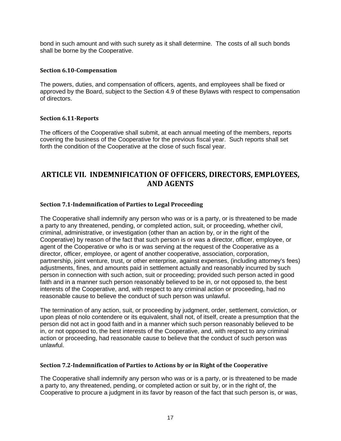bond in such amount and with such surety as it shall determine. The costs of all such bonds shall be borne by the Cooperative.

#### <span id="page-17-0"></span>**Section 6.10-Compensation**

The powers, duties, and compensation of officers, agents, and employees shall be fixed or approved by the Board, subject to the Section 4.9 of these Bylaws with respect to compensation of directors.

#### <span id="page-17-1"></span>**Section 6.11-Reports**

The officers of the Cooperative shall submit, at each annual meeting of the members, reports covering the business of the Cooperative for the previous fiscal year. Such reports shall set forth the condition of the Cooperative at the close of such fiscal year.

# <span id="page-17-2"></span>**ARTICLE VII. INDEMNIFICATION OF OFFICERS, DIRECTORS, EMPLOYEES, AND AGENTS**

#### <span id="page-17-3"></span>**Section 7.1-Indemnification of Parties to Legal Proceeding**

The Cooperative shall indemnify any person who was or is a party, or is threatened to be made a party to any threatened, pending, or completed action, suit, or proceeding, whether civil, criminal, administrative, or investigation (other than an action by, or in the right of the Cooperative) by reason of the fact that such person is or was a director, officer, employee, or agent of the Cooperative or who is or was serving at the request of the Cooperative as a director, officer, employee, or agent of another cooperative, association, corporation, partnership, joint venture, trust, or other enterprise, against expenses, (including attorney's fees) adjustments, fines, and amounts paid in settlement actually and reasonably incurred by such person in connection with such action, suit or proceeding; provided such person acted in good faith and in a manner such person reasonably believed to be in, or not opposed to, the best interests of the Cooperative, and, with respect to any criminal action or proceeding, had no reasonable cause to believe the conduct of such person was unlawful.

The termination of any action, suit, or proceeding by judgment, order, settlement, conviction, or upon pleas of nolo contendere or its equivalent, shall not, of itself, create a presumption that the person did not act in good faith and in a manner which such person reasonably believed to be in, or not opposed to, the best interests of the Cooperative, and, with respect to any criminal action or proceeding, had reasonable cause to believe that the conduct of such person was unlawful.

#### <span id="page-17-4"></span>**Section 7.2-Indemnification of Parties to Actions by or in Right of the Cooperative**

The Cooperative shall indemnify any person who was or is a party, or is threatened to be made a party to, any threatened, pending, or completed action or suit by, or in the right of, the Cooperative to procure a judgment in its favor by reason of the fact that such person is, or was,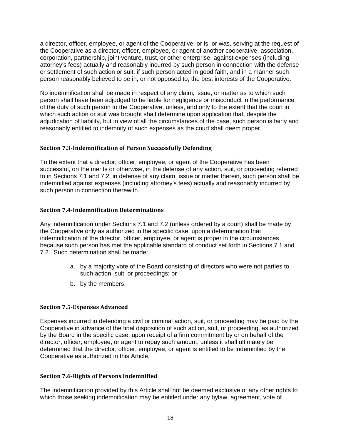a director, officer, employee, or agent of the Cooperative, or is, or was, serving at the request of the Cooperative as a director, officer, employee, or agent of another cooperative, association, corporation, partnership, joint venture, trust, or other enterprise, against expenses (including attorney's fees) actually and reasonably incurred by such person in connection with the defense or settlement of such action or suit, if such person acted in good faith, and in a manner such person reasonably believed to be in, or not opposed to, the best interests of the Cooperative.

No indemnification shall be made in respect of any claim, issue, or matter as to which such person shall have been adjudged to be liable for negligence or misconduct in the performance of the duty of such person to the Cooperative, unless, and only to the extent that the court in which such action or suit was brought shall determine upon application that, despite the adjudication of liability, but in view of all the circumstances of the case, such person is fairly and reasonably entitled to indemnity of such expenses as the court shall deem proper.

#### <span id="page-18-0"></span>**Section 7.3-Indemnification of Person Successfully Defending**

To the extent that a director, officer, employee, or agent of the Cooperative has been successful, on the merits or otherwise, in the defense of any action, suit, or proceeding referred to in Sections 7.1 and 7.2, in defense of any claim, issue or matter therein, such person shall be indemnified against expenses (including attorney's fees) actually and reasonably incurred by such person in connection therewith.

#### <span id="page-18-1"></span>**Section 7.4-Indemnification Determinations**

Any indemnification under Sections 7.1 and 7.2 (unless ordered by a court) shall be made by the Cooperative only as authorized in the specific case, upon a determination that indemnification of the director, officer, employee, or agent is proper in the circumstances because such person has met the applicable standard of conduct set forth in Sections 7.1 and 7.2. Such determination shall be made:

- a. by a majority vote of the Board consisting of directors who were not parties to such action, suit, or proceedings; or
- b. by the members.

#### <span id="page-18-2"></span>**Section 7.5-Expenses Advanced**

Expenses incurred in defending a civil or criminal action, suit, or proceeding may be paid by the Cooperative in advance of the final disposition of such action, suit, or proceeding, as authorized by the Board in the specific case, upon receipt of a firm commitment by or on behalf of the director, officer, employee, or agent to repay such amount, unless it shall ultimately be determined that the director, officer, employee, or agent is entitled to be indemnified by the Cooperative as authorized in this Article.

#### <span id="page-18-3"></span>**Section 7.6-Rights of Persons Indemnified**

The indemnification provided by this Article shall not be deemed exclusive of any other rights to which those seeking indemnification may be entitled under any bylaw, agreement, vote of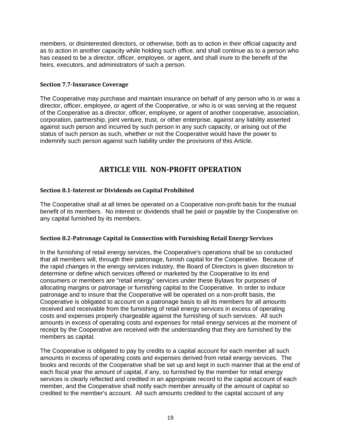members, or disinterested directors, or otherwise, both as to action in their official capacity and as to action in another capacity while holding such office, and shall continue as to a person who has ceased to be a director, officer, employee, or agent, and shall inure to the benefit of the heirs, executors, and administrators of such a person.

## <span id="page-19-0"></span>**Section 7.7-Insurance Coverage**

The Cooperative may purchase and maintain insurance on behalf of any person who is or was a director, officer, employee, or agent of the Cooperative, or who is or was serving at the request of the Cooperative as a director, officer, employee, or agent of another cooperative, association, corporation, partnership, joint venture, trust, or other enterprise, against any liability asserted against such person and incurred by such person in any such capacity, or arising out of the status of such person as such, whether or not the Cooperative would have the power to indemnify such person against such liability under the provisions of this Article.

# **ARTICLE VIII. NON-PROFIT OPERATION**

# <span id="page-19-2"></span><span id="page-19-1"></span>**Section 8.1-Interest or Dividends on Capital Prohibited**

The Cooperative shall at all times be operated on a Cooperative non-profit basis for the mutual benefit of its members. No interest or dividends shall be paid or payable by the Cooperative on any capital furnished by its members.

# <span id="page-19-3"></span>**Section 8.2-Patronage Capital in Connection with Furnishing Retail Energy Services**

In the furnishing of retail energy services, the Cooperative's operations shall be so conducted that all members will, through their patronage, furnish capital for the Cooperative. Because of the rapid changes in the energy services industry, the Board of Directors is given discretion to determine or define which services offered or marketed by the Cooperative to its end consumers or members are "retail energy" services under these Bylaws for purposes of allocating margins or patronage or furnishing capital to the Cooperative. In order to induce patronage and to insure that the Cooperative will be operated on a non-profit basis, the Cooperative is obligated to account on a patronage basis to all its members for all amounts received and receivable from the furnishing of retail energy services in excess of operating costs and expenses properly chargeable against the furnishing of such services. All such amounts in excess of operating costs and expenses for retail energy services at the moment of receipt by the Cooperative are received with the understanding that they are furnished by the members as capital.

The Cooperative is obligated to pay by credits to a capital account for each member all such amounts in excess of operating costs and expenses derived from retail energy services. The books and records of the Cooperative shall be set up and kept in such manner that at the end of each fiscal year the amount of capital, if any, so furnished by the member for retail energy services is clearly reflected and credited in an appropriate record to the capital account of each member, and the Cooperative shall notify each member annually of the amount of capital so credited to the member's account. All such amounts credited to the capital account of any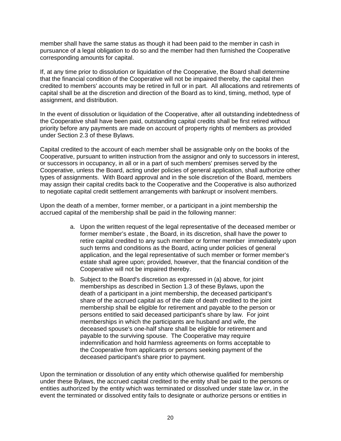member shall have the same status as though it had been paid to the member in cash in pursuance of a legal obligation to do so and the member had then furnished the Cooperative corresponding amounts for capital.

If, at any time prior to dissolution or liquidation of the Cooperative, the Board shall determine that the financial condition of the Cooperative will not be impaired thereby, the capital then credited to members' accounts may be retired in full or in part. All allocations and retirements of capital shall be at the discretion and direction of the Board as to kind, timing, method, type of assignment, and distribution.

In the event of dissolution or liquidation of the Cooperative, after all outstanding indebtedness of the Cooperative shall have been paid, outstanding capital credits shall be first retired without priority before any payments are made on account of property rights of members as provided under Section 2.3 of these Bylaws.

Capital credited to the account of each member shall be assignable only on the books of the Cooperative, pursuant to written instruction from the assignor and only to successors in interest, or successors in occupancy, in all or in a part of such members' premises served by the Cooperative, unless the Board, acting under policies of general application, shall authorize other types of assignments. With Board approval and in the sole discretion of the Board, members may assign their capital credits back to the Cooperative and the Cooperative is also authorized to negotiate capital credit settlement arrangements with bankrupt or insolvent members.

Upon the death of a member, former member, or a participant in a joint membership the accrued capital of the membership shall be paid in the following manner:

- a. Upon the written request of the legal representative of the deceased member or former member's estate , the Board, in its discretion, shall have the power to retire capital credited to any such member or former member immediately upon such terms and conditions as the Board, acting under policies of general application, and the legal representative of such member or former member's estate shall agree upon; provided, however, that the financial condition of the Cooperative will not be impaired thereby.
- b. Subject to the Board's discretion as expressed in (a) above, for joint memberships as described in Section 1.3 of these Bylaws, upon the death of a participant in a joint membership, the deceased participant's share of the accrued capital as of the date of death credited to the joint membership shall be eligible for retirement and payable to the person or persons entitled to said deceased participant's share by law. For joint memberships in which the participants are husband and wife, the deceased spouse's one-half share shall be eligible for retirement and payable to the surviving spouse. The Cooperative may require indemnification and hold harmless agreements on forms acceptable to the Cooperative from applicants or persons seeking payment of the deceased participant's share prior to payment.

Upon the termination or dissolution of any entity which otherwise qualified for membership under these Bylaws, the accrued capital credited to the entity shall be paid to the persons or entities authorized by the entity which was terminated or dissolved under state law or, in the event the terminated or dissolved entity fails to designate or authorize persons or entities in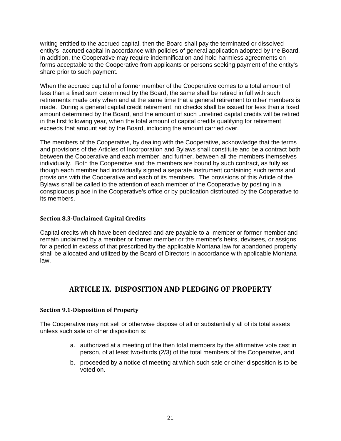writing entitled to the accrued capital, then the Board shall pay the terminated or dissolved entity's accrued capital in accordance with policies of general application adopted by the Board. In addition, the Cooperative may require indemnification and hold harmless agreements on forms acceptable to the Cooperative from applicants or persons seeking payment of the entity's share prior to such payment.

When the accrued capital of a former member of the Cooperative comes to a total amount of less than a fixed sum determined by the Board, the same shall be retired in full with such retirements made only when and at the same time that a general retirement to other members is made. During a general capital credit retirement, no checks shall be issued for less than a fixed amount determined by the Board, and the amount of such unretired capital credits will be retired in the first following year, when the total amount of capital credits qualifying for retirement exceeds that amount set by the Board, including the amount carried over.

The members of the Cooperative, by dealing with the Cooperative, acknowledge that the terms and provisions of the Articles of Incorporation and Bylaws shall constitute and be a contract both between the Cooperative and each member, and further, between all the members themselves individually. Both the Cooperative and the members are bound by such contract, as fully as though each member had individually signed a separate instrument containing such terms and provisions with the Cooperative and each of its members. The provisions of this Article of the Bylaws shall be called to the attention of each member of the Cooperative by posting in a conspicuous place in the Cooperative's office or by publication distributed by the Cooperative to its members.

## <span id="page-21-0"></span>**Section 8.3-Unclaimed Capital Credits**

Capital credits which have been declared and are payable to a member or former member and remain unclaimed by a member or former member or the member's heirs, devisees, or assigns for a period in excess of that prescribed by the applicable Montana law for abandoned property shall be allocated and utilized by the Board of Directors in accordance with applicable Montana law.

# <span id="page-21-1"></span>**ARTICLE IX. DISPOSITION AND PLEDGING OF PROPERTY**

#### <span id="page-21-2"></span>**Section 9.1-Disposition of Property**

The Cooperative may not sell or otherwise dispose of all or substantially all of its total assets unless such sale or other disposition is:

- a. authorized at a meeting of the then total members by the affirmative vote cast in person, of at least two-thirds (2/3) of the total members of the Cooperative, and
- b. proceeded by a notice of meeting at which such sale or other disposition is to be voted on.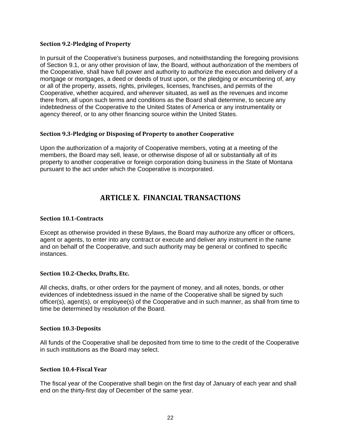#### <span id="page-22-0"></span>**Section 9.2-Pledging of Property**

In pursuit of the Cooperative's business purposes, and notwithstanding the foregoing provisions of Section 9.1, or any other provision of law, the Board, without authorization of the members of the Cooperative, shall have full power and authority to authorize the execution and delivery of a mortgage or mortgages, a deed or deeds of trust upon, or the pledging or encumbering of, any or all of the property, assets, rights, privileges, licenses, franchises, and permits of the Cooperative, whether acquired, and wherever situated, as well as the revenues and income there from, all upon such terms and conditions as the Board shall determine, to secure any indebtedness of the Cooperative to the United States of America or any instrumentality or agency thereof, or to any other financing source within the United States.

#### <span id="page-22-1"></span>**Section 9.3-Pledging or Disposing of Property to another Cooperative**

<span id="page-22-2"></span>Upon the authorization of a majority of Cooperative members, voting at a meeting of the members, the Board may sell, lease, or otherwise dispose of all or substantially all of its property to another cooperative or foreign corporation doing business in the State of Montana pursuant to the act under which the Cooperative is incorporated.

# **ARTICLE X. FINANCIAL TRANSACTIONS**

## <span id="page-22-3"></span>**Section 10.1-Contracts**

Except as otherwise provided in these Bylaws, the Board may authorize any officer or officers, agent or agents, to enter into any contract or execute and deliver any instrument in the name and on behalf of the Cooperative, and such authority may be general or confined to specific instances.

# <span id="page-22-4"></span>**Section 10.2-Checks, Drafts, Etc.**

All checks, drafts, or other orders for the payment of money, and all notes, bonds, or other evidences of indebtedness issued in the name of the Cooperative shall be signed by such officer(s), agent(s), or employee(s) of the Cooperative and in such manner, as shall from time to time be determined by resolution of the Board.

#### <span id="page-22-5"></span>**Section 10.3-Deposits**

All funds of the Cooperative shall be deposited from time to time to the credit of the Cooperative in such institutions as the Board may select.

#### <span id="page-22-6"></span>**Section 10.4-Fiscal Year**

The fiscal year of the Cooperative shall begin on the first day of January of each year and shall end on the thirty-first day of December of the same year.